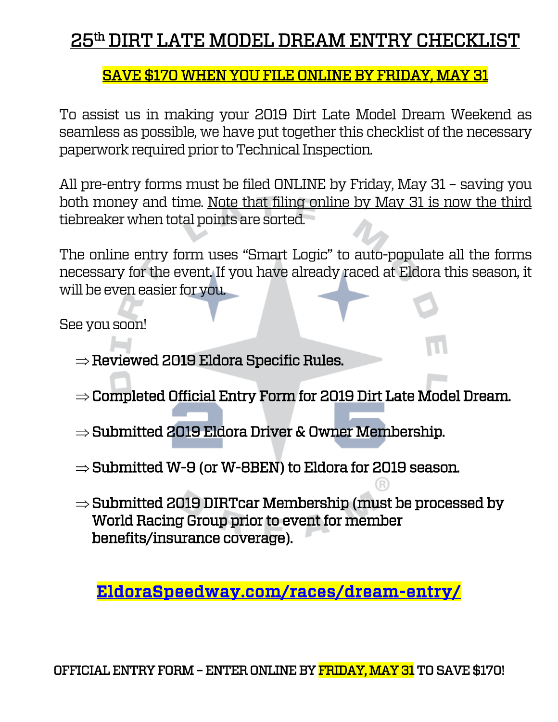# 25th DIRT LATE MODEL DREAM ENTRY CHECKLIST

## SAVE \$170 WHEN YOU FILE ONLINE BY FRIDAY, MAY 31

To assist us in making your 2019 Dirt Late Model Dream Weekend as seamless as possible, we have put together this checklist of the necessary paperwork required prior to Technical Inspection.

All pre-entry forms must be filed ONLINE by Friday, May 31 – saving you both money and time. Note that filing online by May 31 is now the third tiebreaker when total points are sorted.

The online entry form uses "Smart Logic" to auto-populate all the forms necessary for the event. If you have already raced at Eldora this season, it will be even easier for you.

See you soon!

- $\Rightarrow$  Reviewed 2019 Eldora Specific Rules.
- $\Rightarrow$  Completed Official Entry Form for 2019 Dirt Late Model Dream.
- $\Rightarrow$  Submitted 2019 Eldora Driver & Owner Membership.
- $\Rightarrow$  Submitted W-9 (or W-8BEN) to Eldora for 2019 season.
- $\Rightarrow$  Submitted 2019 DIRTcar Membership (must be processed by World Racing Group prior to event for member benefits/insurance coverage).

[EldoraSpeedway.com/races/dream-entry/](https://www.eldoraspeedway.com/races/dream-entry/)

OFFICIAL ENTRY FORM – ENTER ONLINE BY FRIDAY, MAY 31 TO SAVE \$170!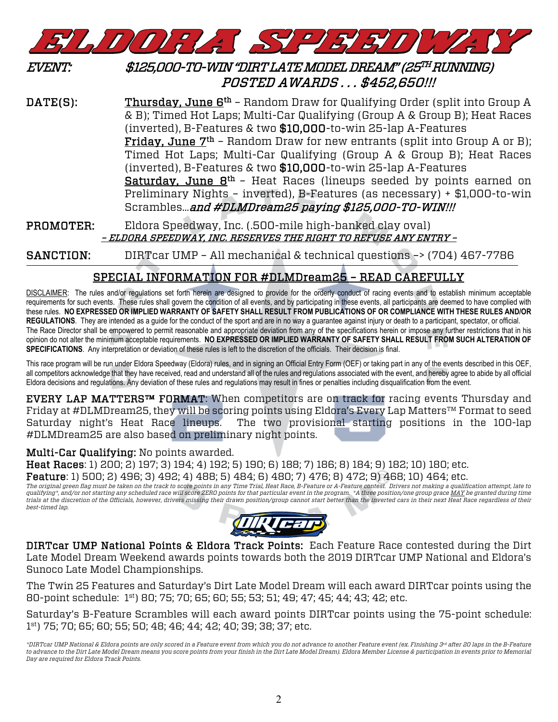

### EVENT: \$125,000-TO-WIN "DIRT LATE MODEL DREAM" (25TH RUNNING) POSTED AWARDS . . . \$452,650!!!

**DATE(S):** Thursday, June  $\underline{B}^{th}$  – Random Draw for Qualifying Order (split into Group A & B); Timed Hot Laps; Multi-Car Qualifying (Group A & Group B); Heat Races (inverted), B-Features & two \$10,000-to-win 25-lap A-Features **Friday, June**  $7<sup>th</sup>$  – Random Draw for new entrants (split into Group A or B); Timed Hot Laps; Multi-Car Qualifying (Group A & Group B); Heat Races (inverted), B-Features & two \$10,000-to-win 25-lap A-Features **Saturday, June**  $B<sup>th</sup>$  – Heat Races (lineups seeded by points earned on Preliminary Nights – inverted), B-Features (as necessary) + \$1,000-to-win Scrambles... and #DLMDream25 paying \$125,000-TO-WIN!!!

PROMOTER: Eldora Speedway, Inc. (.500-mile high-banked clay oval) – ELDORA SPEEDWAY, INC. RESERVES THE RIGHT TO REFUSE ANY ENTRY –

SANCTION: DIRTcar UMP – All mechanical & technical questions –> (704) 467-7786

### SPECIAL INFORMATION FOR #DLMDream25 – READ CAREFULLY

DISCLAIMER: The rules and/or regulations set forth herein are designed to provide for the orderly conduct of racing events and to establish minimum acceptable requirements for such events. These rules shall govern the condition of all events, and by participating in these events, all participants are deemed to have complied with these rules. **NO EXPRESSED OR IMPLIED WARRANTY OF SAFETY SHALL RESULT FROM PUBLICATIONS OF OR COMPLIANCE WITH THESE RULES AND/OR**  REGULATIONS. They are intended as a guide for the conduct of the sport and are in no way a guarantee against injury or death to a participant, spectator, or official. The Race Director shall be empowered to permit reasonable and appropriate deviation from any of the specifications herein or impose any further restrictions that in his opinion do not alter the minimum acceptable requirements. **NO EXPRESSED OR IMPLIED WARRANTY OF SAFETY SHALL RESULT FROM SUCH ALTERATION OF SPECIFICATIONS**. Any interpretation or deviation of these rules is left to the discretion of the officials. Their decision is final.

This race program will be run under Eldora Speedway (Eldora) rules, and in signing an Official Entry Form (OEF) or taking part in any of the events described in this OEF, all competitors acknowledge that they have received, read and understand all of the rules and regulations associated with the event, and hereby agree to abide by all official Eldora decisions and regulations. Any deviation of these rules and regulations may result in fines or penalties including disqualification from the event.

EVERY LAP MATTERS<sup>™</sup> FORMAT: When competitors are on track for racing events Thursday and Friday at #DLMDream25, they will be scoring points using Eldora's Every Lap Matters™ Format to seed Saturday night's Heat Race lineups. The two provisional starting positions in the 100-lap #DLMDream25 are also based on preliminary night points.

#### Multi-Car Qualifying: No points awarded.

Heat Races: 1) 200; 2) 197; 3) 194; 4) 192; 5) 190; 6) 188; 7) 186; 8) 184; 9) 182; 10) 180; etc.

Feature: 1) 500; 2) 496; 3) 492; 4) 488; 5) 484; 6) 480; 7) 476; 8) 472; 9) 468; 10) 464; etc.

*The original green flag must be taken on the track to score points in any Time Trial, Heat Race, B-Feature or A-Feature contest. Drivers not making a qualification attempt, late to qualifying\*, and/or not starting any scheduled race will score ZERO points for that particular event in the program. \*A three position/one group grace MAY be granted during time trials at the discretion of the Officials, however, drivers missing their drawn position/group cannot start better than the inverted cars in their next Heat Race regardless of their best-timed lap.*



DIRTcar UMP National Points & Eldora Track Points: Each Feature Race contested during the Dirt Late Model Dream Weekend awards points towards both the 2019 DIRTcar UMP National and Eldora's Sunoco Late Model Championships.

The Twin 25 Features and Saturday's Dirt Late Model Dream will each award DIRTcar points using the 80-point schedule: 1st) 80; 75; 70; 65; 60; 55; 53; 51; 49; 47; 45; 44; 43; 42; etc.

Saturday's B-Feature Scrambles will each award points DIRTcar points using the 75-point schedule: 1st) 75; 70; 65; 60; 55; 50; 48; 46; 44; 42; 40; 39; 38; 37; etc.

*<sup>\*</sup>DIRTcar UMP National & Eldora points are only scored in a Feature event from which you do not advance to another Feature event (ex. Finishing 3rd after 20 laps in the B-Feature to advance to the Dirt Late Model Dream means you score points from your finish in the Dirt Late Model Dream). Eldora Member License & participation in events prior to Memorial Day are required for Eldora Track Points.*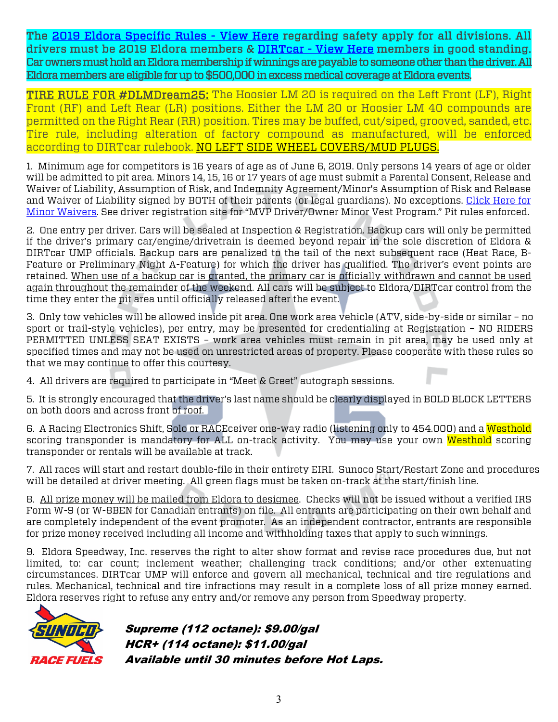The [2019 Eldora Specific Rules - View Here](https://www.eldoraspeedway.com/races/late-model-rules/) regarding safety apply for all divisions. All drivers must be 2019 Eldora members & [DIRTcar - View Here](https://www.eldoraspeedway.com/forms/19-ump-membership.pdf) members in good standing. Car owners must hold an Eldora membership if winnings are payable to someone other than the driver. All Eldora members are eligible for up to \$500,000 in excess medical coverage at Eldora events.

TIRE RULE FOR #DLMDream25: The Hoosier LM 20 is required on the Left Front (LF), Right Front (RF) and Left Rear (LR) positions. Either the LM 20 or Hoosier LM 40 compounds are permitted on the Right Rear (RR) position. Tires may be buffed, cut/siped, grooved, sanded, etc. Tire rule, including alteration of factory compound as manufactured, will be enforced according to DIRTcar rulebook. NO LEFT SIDE WHEEL COVERS/MUD PLUGS.

1. Minimum age for competitors is 16 years of age as of June 6, 2019. Only persons 14 years of age or older will be admitted to pit area. Minors 14, 15, 16 or 17 years of age must submit a Parental Consent, Release and Waiver of Liability, Assumption of Risk, and Indemnity Agreement/Minor's Assumption of Risk and Release and Waiver of Liability signed by BOTH of their parents (or legal guardians). No exceptions. Click Here for [Minor Waivers.](http://www.eldoraspeedway.com/tickets/pit-passes-and-restricted-areas/) See driver registration site for "MVP Driver/Owner Minor Vest Program." Pit rules enforced.

2. One entry per driver. Cars will be sealed at Inspection & Registration. Backup cars will only be permitted if the driver's primary car/engine/drivetrain is deemed beyond repair in the sole discretion of Eldora & DIRTcar UMP officials. Backup cars are penalized to the tail of the next subsequent race (Heat Race, B-Feature or Preliminary Night A-Feature) for which the driver has qualified. The driver's event points are retained. When use of a backup car is granted, the primary car is officially withdrawn and cannot be used again throughout the remainder of the weekend. All cars will be subject to Eldora/DIRTcar control from the time they enter the pit area until officially released after the event.

3. Only tow vehicles will be allowed inside pit area. One work area vehicle (ATV, side-by-side or similar – no sport or trail-style vehicles), per entry, may be presented for credentialing at Registration – NO RIDERS PERMITTED UNLESS SEAT EXISTS – work area vehicles must remain in pit area, may be used only at specified times and may not be used on unrestricted areas of property. Please cooperate with these rules so that we may continue to offer this courtesy.

4. All drivers are required to participate in "Meet & Greet" autograph sessions.

5. It is strongly encouraged that the driver's last name should be clearly displayed in BOLD BLOCK LETTERS on both doors and across front of roof.

6. A Racing Electronics Shift, Solo or RACEceiver one-way radio (listening only to 454.000) and a Westhold scoring transponder is mandatory for ALL on-track activity. You may use your own Westhold scoring transponder or rentals will be available at track.

7. All races will start and restart double-file in their entirety EIRI. Sunoco Start/Restart Zone and procedures will be detailed at driver meeting. All green flags must be taken on-track at the start/finish line.

8. All prize money will be mailed from Eldora to designee. Checks will not be issued without a verified IRS Form W-9 (or W-8BEN for Canadian entrants) on file. All entrants are participating on their own behalf and are completely independent of the event promoter. As an independent contractor, entrants are responsible for prize money received including all income and withholding taxes that apply to such winnings.

9. Eldora Speedway, Inc. reserves the right to alter show format and revise race procedures due, but not limited, to: car count; inclement weather; challenging track conditions; and/or other extenuating circumstances. DIRTcar UMP will enforce and govern all mechanical, technical and tire regulations and rules. Mechanical, technical and tire infractions may result in a complete loss of all prize money earned. Eldora reserves right to refuse any entry and/or remove any person from Speedway property.



Supreme (112 octane): \$9.00/gal HCR+ (114 octane): \$11.00/gal Available until 30 minutes before Hot Laps.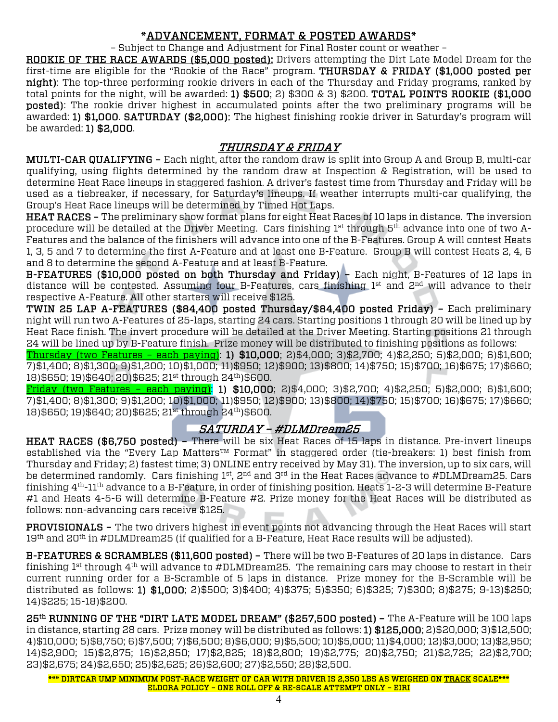### \*ADVANCEMENT, FORMAT & POSTED AWARDS\*

– Subject to Change and Adjustment for Final Roster count or weather –

ROOKIE OF THE RACE AWARDS (\$5,000 posted): Drivers attempting the Dirt Late Model Dream for the first-time are eligible for the "Rookie of the Race" program. THURSDAY & FRIDAY (\$1,000 posted per night): The top-three performing rookie drivers in each of the Thursday and Friday programs, ranked by total points for the night, will be awarded: 1) \$500; 2) \$300 & 3) \$200. TOTAL POINTS ROOKIE (\$1,000 posted): The rookie driver highest in accumulated points after the two preliminary programs will be awarded: 1) \$1,000. SATURDAY (\$2,000): The highest finishing rookie driver in Saturday's program will be awarded: 1) \$2,000.

#### THURSDAY & FRIDAY

MULTI-CAR QUALIFYING – Each night, after the random draw is split into Group A and Group B, multi-car qualifying, using flights determined by the random draw at Inspection & Registration, will be used to determine Heat Race lineups in staggered fashion. A driver's fastest time from Thursday and Friday will be used as a tiebreaker, if necessary, for Saturday's lineups. If weather interrupts multi-car qualifying, the Group's Heat Race lineups will be determined by Timed Hot Laps.

HEAT RACES – The preliminary show format plans for eight Heat Races of 10 laps in distance. The inversion procedure will be detailed at the Driver Meeting. Cars finishing 1st through 5th advance into one of two A-Features and the balance of the finishers will advance into one of the B-Features. Group A will contest Heats 1, 3, 5 and 7 to determine the first A-Feature and at least one B-Feature. Group B will contest Heats 2, 4, 6 and 8 to determine the second A-Feature and at least B-Feature.

B-FEATURES (\$10,000 posted on both Thursday and Friday) – Each night, B-Features of 12 laps in distance will be contested. Assuming four B-Features, cars finishing 1<sup>st</sup> and 2<sup>nd</sup> will advance to their respective A-Feature. All other starters will receive \$125.

TWIN 25 LAP A-FEATURES (\$84,400 posted Thursday/\$84,400 posted Friday) – Each preliminary night will run two A-Features of 25-laps, starting 24 cars. Starting positions 1 through 20 will be lined up by Heat Race finish. The invert procedure will be detailed at the Driver Meeting. Starting positions 21 through 24 will be lined up by B-Feature finish. Prize money will be distributed to finishing positions as follows:

Thursday (two Features – each paying): 1) \$10,000; 2)\$4,000; 3)\$2,700; 4)\$2,250; 5)\$2,000; 6)\$1,600; 7)\$1,400; 8)\$1,300; 9)\$1,200; 10)\$1,000; 11)\$950; 12)\$900; 13)\$800; 14)\$750; 15)\$700; 16)\$675; 17)\$660; 18)\$650; 19)\$640; 20)\$625; 21st through 24th)\$600.

Friday (two Features – each paying): 1) \$10,000; 2)\$4,000; 3)\$2,700; 4)\$2,250; 5)\$2,000; 6)\$1,600; 7)\$1,400; 8)\$1,300; 9)\$1,200; 10)\$1,000; 11)\$950; 12)\$900; 13)\$800; 14)\$750; 15)\$700; 16)\$675; 17)\$660; 18)\$650; 19)\$640; 20)\$625; 21<sup>st</sup> through 24<sup>th</sup>)\$600.

#### SATURDAY – #DLMDream25

HEAT RACES (\$6,750 posted) – There will be six Heat Races of 15 laps in distance. Pre-invert lineups established via the "Every Lap Matters™ Format" in staggered order (tie-breakers: 1) best finish from Thursday and Friday; 2) fastest time; 3) ONLINE entry received by May 31). The inversion, up to six cars, will be determined randomly. Cars finishing 1<sup>st</sup>, 2<sup>nd</sup> and 3<sup>rd</sup> in the Heat Races advance to #DLMDream25. Cars finishing  $4^{\text{th}}$ -11<sup>th</sup> advance to a B-Feature, in order of finishing position. Heats 1-2-3 will determine B-Feature #1 and Heats 4-5-6 will determine B-Feature #2. Prize money for the Heat Races will be distributed as follows: non-advancing cars receive \$125.

PROVISIONALS – The two drivers highest in event points not advancing through the Heat Races will start  $19<sup>th</sup>$  and 20<sup>th</sup> in #DLMDream25 (if qualified for a B-Feature, Heat Race results will be adjusted).

B-FEATURES & SCRAMBLES (\$11,600 posted) – There will be two B-Features of 20 laps in distance. Cars finishing 1<sup>st</sup> through  $4<sup>th</sup>$  will advance to #DLMDream25. The remaining cars may choose to restart in their current running order for a B-Scramble of 5 laps in distance. Prize money for the B-Scramble will be distributed as follows: 1) \$1,000; 2)\$500; 3)\$400; 4)\$375; 5)\$350; 6)\$325; 7)\$300; 8)\$275; 9-13)\$250; 14)\$225; 15-18)\$200.

25th RUNNING OF THE "DIRT LATE MODEL DREAM" (\$257,500 posted) – The A-Feature will be 100 laps in distance, starting 28 cars. Prize money will be distributed as follows: 1) \$125,000; 2)\$20,000; 3)\$12,500; 4)\$10,000; 5)\$8,750; 6)\$7,500; 7)\$6,500; 8)\$6,000; 9)\$5,500; 10)\$5,000; 11)\$4,000; 12)\$3,000; 13)\$2,950; 14)\$2,900; 15)\$2,875; 16)\$2,850; 17)\$2,825; 18)\$2,800; 19)\$2,775; 20)\$2,750; 21)\$2,725; 22)\$2,700; 23)\$2,675; 24)\$2,650; 25)\$2,625; 26)\$2,600; 27)\$2,550; 28)\$2,500.

\*\*\* DIRTCAR UMP MINIMUM POST-RACE WEIGHT OF CAR WITH DRIVER IS 2,350 LBS AS WEIGHED ON TRACK SCALE\*\*\* ELDORA POLICY – ONE ROLL OFF & RE-SCALE ATTEMPT ONLY – EIRI